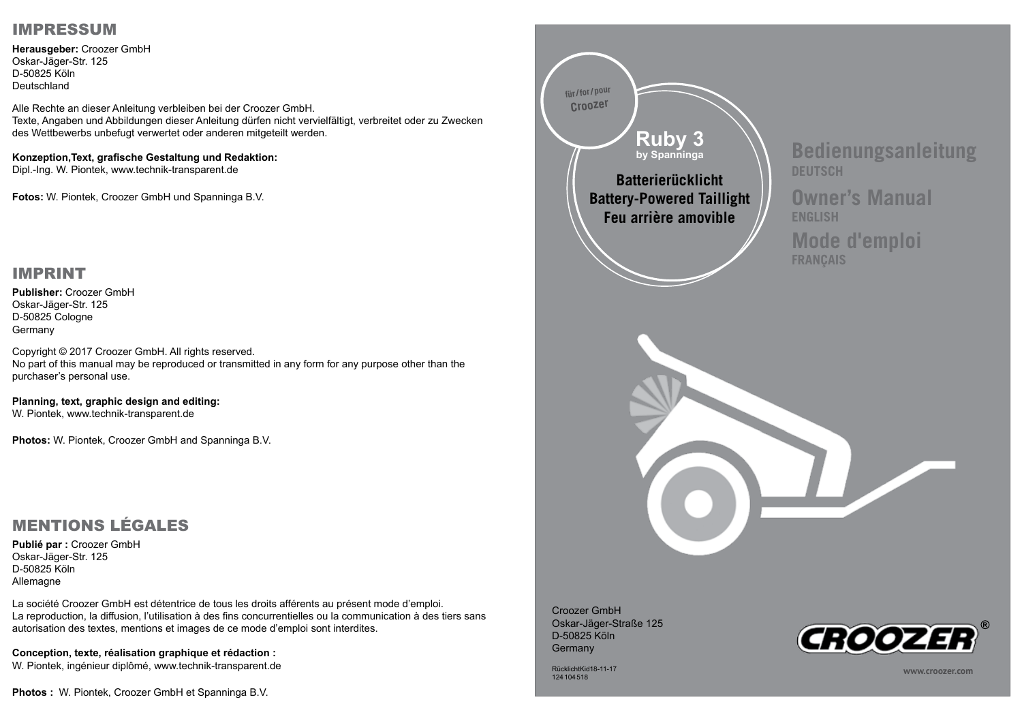## IMPRESSUM

**Herausgeber:** Croozer GmbH Oskar-Jäger-Str. 125 D-50825 Köln Deutschland

Alle Rechte an dieser Anleitung verbleiben bei der Croozer GmbH. Texte, Angaben und Abbildungen dieser Anleitung dürfen nicht vervielfältigt, verbreitet oder zu Zwecken des Wettbewerbs unbefugt verwertet oder anderen mitgeteilt werden.

## **Konzeption,Text, grafische Gestaltung und Redaktion:**

Dipl.-Ing. W. Piontek, www.technik-transparent.de

**Fotos:** W. Piontek, Croozer GmbH und Spanninga B.V.

## IMPRINT

**Publisher:** Croozer GmbH Oskar-Jäger-Str. 125 D-50825 Cologne Germany

Copyright © 2017 Croozer GmbH. All rights reserved. No part of this manual may be reproduced or transmitted in any form for any purpose other than the purchaser's personal use.

**Planning, text, graphic design and editing:**  W. Piontek, www.technik-transparent.de

**Photos:** W. Piontek, Croozer GmbH and Spanninga B.V.

## MENTIONS LÉGALES

**Publié par :** Croozer GmbH Oskar-Jäger-Str. 125 D-50825 Köln Allemagne

La société Croozer GmbH est détentrice de tous les droits afférents au présent mode d'emploi. La reproduction, la diffusion, l'utilisation à des fins concurrentielles ou la communication à des tiers sans autorisation des textes, mentions et images de ce mode d'emploi sont interdites.

**Conception, texte, réalisation graphique et rédaction :**  W. Piontek, ingénieur diplômé, www.technik-transparent.de

**Photos :** W. Piontek, Croozer GmbH et Spanninga B.V.



RücklichtKid18-11-17 124104518

**www.croozer.com**